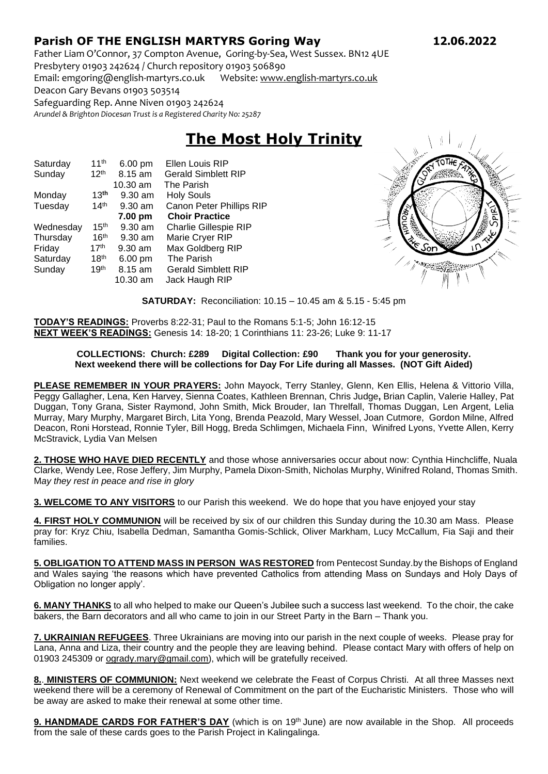## **Parish OF THE ENGLISH MARTYRS Goring Way 12.06.2022**

Father Liam O'Connor, 37 Compton Avenue, Goring-by-Sea, West Sussex. BN12 4UE Presbytery 01903 242624 / Church repository 01903 506890

Email: emgoring@english-martyrs.co.uk Website[: www.english-martyrs.co.uk](http://www.english-martyrs.co.uk/) 

Deacon Gary Bevans 01903 503514

Safeguarding Rep. Anne Niven 01903 242624

*Arundel & Brighton Diocesan Trust is a Registered Charity No: 25287*

## **The Most Holy Trinity**

| Saturday  | 11 <sup>th</sup> | 6.00 pm   | <b>Ellen Louis RIP</b>       |
|-----------|------------------|-----------|------------------------------|
| Sunday    | 12 <sup>th</sup> | 8.15 am   | <b>Gerald Simblett RIP</b>   |
|           |                  | 10.30 am  | The Parish                   |
| Monday    | 13 <sup>th</sup> | $9.30$ am | <b>Holy Souls</b>            |
| Tuesday   | 14 <sup>th</sup> | $9.30$ am | Canon Peter Phillips RIP     |
|           |                  | 7.00 pm   | <b>Choir Practice</b>        |
| Wednesday | 15 <sup>th</sup> | 9.30 am   | <b>Charlie Gillespie RIP</b> |
| Thursday  | 16 <sup>th</sup> | $9.30$ am | Marie Cryer RIP              |
| Friday    | 17 <sup>th</sup> | $9.30$ am | Max Goldberg RIP             |
| Saturday  | 18 <sup>th</sup> | 6.00 pm   | The Parish                   |
| Sunday    | 19 <sup>th</sup> | 8.15 am   | <b>Gerald Simblett RIP</b>   |
|           |                  | 10.30 am  | Jack Haugh RIP               |



**SATURDAY:** Reconciliation: 10.15 – 10.45 am & 5.15 - 5:45 pm

**TODAY'S READINGS:** Proverbs 8:22-31; Paul to the Romans 5:1-5; John 16:12-15 **NEXT WEEK'S READINGS:** Genesis 14: 18-20; 1 Corinthians 11: 23-26; Luke 9: 11-17

## **COLLECTIONS: Church: £289 Digital Collection: £90 Thank you for your generosity. Next weekend there will be collections for Day For Life during all Masses. (NOT Gift Aided)**

**PLEASE REMEMBER IN YOUR PRAYERS:** John Mayock, Terry Stanley, Glenn, Ken Ellis, Helena & Vittorio Villa, Peggy Gallagher, Lena, Ken Harvey, Sienna Coates, Kathleen Brennan, Chris Judge**,** Brian Caplin, Valerie Halley, Pat Duggan, Tony Grana, Sister Raymond, John Smith, Mick Brouder, Ian Threlfall, Thomas Duggan, Len Argent, Lelia Murray, Mary Murphy, Margaret Birch, Lita Yong, Brenda Peazold, Mary Wessel, Joan Cutmore, Gordon Milne, Alfred Deacon, Roni Horstead, Ronnie Tyler, Bill Hogg, Breda Schlimgen, Michaela Finn, Winifred Lyons, Yvette Allen, Kerry McStravick, Lydia Van Melsen

**2. THOSE WHO HAVE DIED RECENTLY** and those whose anniversaries occur about now: Cynthia Hinchcliffe, Nuala Clarke, Wendy Lee, Rose Jeffery, Jim Murphy, Pamela Dixon-Smith, Nicholas Murphy, Winifred Roland, Thomas Smith. M*ay they rest in peace and rise in glory*

**3. WELCOME TO ANY VISITORS** to our Parish this weekend. We do hope that you have enjoyed your stay

**4. FIRST HOLY COMMUNION** will be received by six of our children this Sunday during the 10.30 am Mass. Please pray for: Kryz Chiu, Isabella Dedman, Samantha Gomis-Schlick, Oliver Markham, Lucy McCallum, Fia Saji and their families.

**5. OBLIGATION TO ATTEND MASS IN PERSON WAS RESTORED** from Pentecost Sunday.by the Bishops of England and Wales saying 'the reasons which have prevented Catholics from attending Mass on Sundays and Holy Days of Obligation no longer apply'.

**6. MANY THANKS** to all who helped to make our Queen's Jubilee such a success last weekend. To the choir, the cake bakers, the Barn decorators and all who came to join in our Street Party in the Barn – Thank you.

**7. UKRAINIAN REFUGEES**. Three Ukrainians are moving into our parish in the next couple of weeks. Please pray for Lana, Anna and Liza, their country and the people they are leaving behind. Please contact Mary with offers of help on 01903 245309 or [ogrady.mary@gmail.com\)](mailto:ogrady.mary@gmail.com), which will be gratefully received.

**8.**. **MINISTERS OF COMMUNION:** Next weekend we celebrate the Feast of Corpus Christi. At all three Masses next weekend there will be a ceremony of Renewal of Commitment on the part of the Eucharistic Ministers. Those who will be away are asked to make their renewal at some other time.

**9. HANDMADE CARDS FOR FATHER'S DAY** (which is on 19<sup>th</sup> June) are now available in the Shop. All proceeds from the sale of these cards goes to the Parish Project in Kalingalinga.